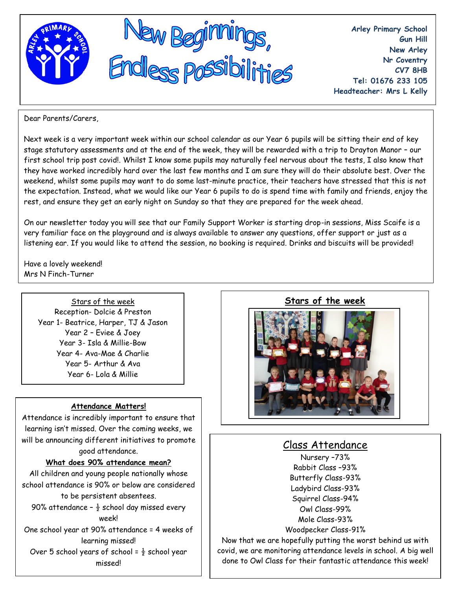

**Arley Primary School Gun Hill New Arley Nr Coventry CV7 8HB Tel: 01676 233 105 Headteacher: Mrs L Kelly**

Dear Parents/Carers,

Next week is a very important week within our school calendar as our Year 6 pupils will be sitting their end of key stage statutory assessments and at the end of the week, they will be rewarded with a trip to Drayton Manor – our first school trip post covid!. Whilst I know some pupils may naturally feel nervous about the tests, I also know that they have worked incredibly hard over the last few months and I am sure they will do their absolute best. Over the weekend, whilst some pupils may want to do some last-minute practice, their teachers have stressed that this is not the expectation. Instead, what we would like our Year 6 pupils to do is spend time with family and friends, enjoy the rest, and ensure they get an early night on Sunday so that they are prepared for the week ahead.

On our newsletter today you will see that our Family Support Worker is starting drop-in sessions, Miss Scaife is a very familiar face on the playground and is always available to answer any questions, offer support or just as a listening ear. If you would like to attend the session, no booking is required. Drinks and biscuits will be provided!

Have a lovely weekend! Mrs N Finch-Turner

> Stars of the week Reception- Dolcie & Preston Year 1- Beatrice, Harper, TJ & Jason Year 2 – Eviee & Joey Year 3- Isla & Millie-Bow Year 4- Ava-Mae & Charlie Year 5- Arthur & Ava Year 6- Lola & Millie

## **Attendance Matters!**

Attendance is incredibly important to ensure that learning isn't missed. Over the coming weeks, we will be announcing different initiatives to promote good attendance.

## **What does 90% attendance mean?**

All children and young people nationally whose school attendance is 90% or below are considered to be persistent absentees.

90% attendance -  $\frac{1}{2}$  school day missed every week!

One school year at 90% attendance = 4 weeks of learning missed!

Over 5 school years of school =  $\frac{1}{2}$  school year missed!

**Stars of the week**



# Class Attendance

Nursery –73% Rabbit Class –93% Butterfly Class-93% Ladybird Class-93% Squirrel Class-94% Owl Class-99% Mole Class-93% Woodpecker Class-91%

Now that we are hopefully putting the worst behind us with covid, we are monitoring attendance levels in school. A big well done to Owl Class for their fantastic attendance this week!